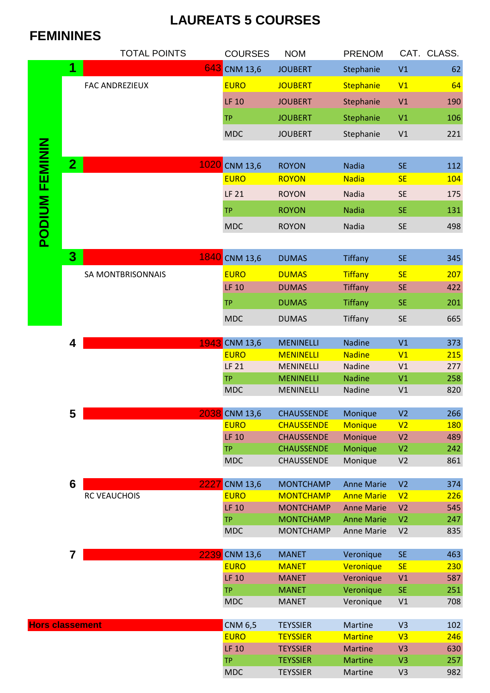## **LAUREATS 5 COURSES**

## **FEMININES**

|                        |                         | <b>TOTAL POINTS</b>   | <b>COURSES</b>              | <b>NOM</b>                             | <b>PRENOM</b>                          |                                  | CAT. CLASS. |
|------------------------|-------------------------|-----------------------|-----------------------------|----------------------------------------|----------------------------------------|----------------------------------|-------------|
|                        | $\overline{\mathbf{1}}$ |                       | 643 CNM 13,6                | <b>JOUBERT</b>                         | Stephanie                              | V1                               | 62          |
|                        |                         | <b>FAC ANDREZIEUX</b> | <b>EURO</b>                 | <b>JOUBERT</b>                         | Stephanie                              | V1                               | 64          |
|                        |                         |                       | <b>LF 10</b>                | <b>JOUBERT</b>                         | Stephanie                              | V1                               | 190         |
|                        |                         |                       |                             |                                        |                                        |                                  |             |
|                        |                         |                       | <b>TP</b>                   | <b>JOUBERT</b>                         | Stephanie                              | V <sub>1</sub>                   | 106         |
|                        |                         |                       | <b>MDC</b>                  | <b>JOUBERT</b>                         | Stephanie                              | V1                               | 221         |
|                        |                         |                       |                             |                                        |                                        |                                  |             |
|                        | $\overline{2}$          |                       | 1020 CNM 13,6               | <b>ROYON</b>                           | <b>Nadia</b>                           | <b>SE</b>                        | 112         |
|                        |                         |                       | <b>EURO</b>                 | <b>ROYON</b>                           | <b>Nadia</b>                           | <b>SE</b>                        | 104         |
|                        |                         |                       | <b>LF 21</b>                | <b>ROYON</b>                           | <b>Nadia</b>                           | <b>SE</b>                        | 175         |
| <b>PODIUM FEMININ</b>  |                         |                       | <b>TP</b>                   | <b>ROYON</b>                           | <b>Nadia</b>                           | <b>SE</b>                        | 131         |
|                        |                         |                       | <b>MDC</b>                  | <b>ROYON</b>                           | Nadia                                  | <b>SE</b>                        | 498         |
|                        |                         |                       |                             |                                        |                                        |                                  |             |
|                        | 3                       |                       |                             |                                        |                                        |                                  |             |
|                        |                         |                       | 1840 CNM 13,6               | <b>DUMAS</b>                           | <b>Tiffany</b>                         | <b>SE</b>                        | 345         |
|                        |                         | SA MONTBRISONNAIS     | <b>EURO</b>                 | <b>DUMAS</b>                           | <b>Tiffany</b>                         | <b>SE</b>                        | 207         |
|                        |                         |                       | <b>LF 10</b>                | <b>DUMAS</b>                           | <b>Tiffany</b>                         | <b>SE</b>                        | 422         |
|                        |                         |                       | <b>TP</b>                   | <b>DUMAS</b>                           | <b>Tiffany</b>                         | <b>SE</b>                        | 201         |
|                        |                         |                       | <b>MDC</b>                  | <b>DUMAS</b>                           | Tiffany                                | <b>SE</b>                        | 665         |
|                        |                         |                       |                             |                                        |                                        |                                  |             |
|                        | 4                       |                       | 1943 CNM 13,6               | <b>MENINELLI</b>                       | <b>Nadine</b>                          | V1                               | 373         |
|                        |                         |                       | <b>EURO</b><br><b>LF 21</b> | <b>MENINELLI</b><br><b>MENINELLI</b>   | <b>Nadine</b><br>Nadine                | V1<br>V <sub>1</sub>             | 215<br>277  |
|                        |                         |                       | <b>TP</b>                   | <b>MENINELLI</b>                       | <b>Nadine</b>                          | V1                               | 258         |
|                        |                         |                       | <b>MDC</b>                  | <b>MENINELLI</b>                       | Nadine                                 | V <sub>1</sub>                   | 820         |
|                        |                         |                       |                             |                                        |                                        |                                  |             |
|                        | 5                       |                       | 2038 CNM 13,6               | <b>CHAUSSENDE</b>                      | Monique                                | V <sub>2</sub>                   | 266         |
|                        |                         |                       | <b>EURO</b>                 | <b>CHAUSSENDE</b>                      | <b>Monique</b>                         | V <sub>2</sub>                   | <b>180</b>  |
|                        |                         |                       | <b>LF 10</b><br><b>TP</b>   | <b>CHAUSSENDE</b><br><b>CHAUSSENDE</b> | Monique<br>Monique                     | V <sub>2</sub><br>V <sub>2</sub> | 489<br>242  |
|                        |                         |                       | <b>MDC</b>                  | <b>CHAUSSENDE</b>                      | Monique                                | V <sub>2</sub>                   | 861         |
|                        |                         |                       |                             |                                        |                                        |                                  |             |
|                        | 6                       | 2227                  | <b>CNM 13,6</b>             | <b>MONTCHAMP</b>                       | <b>Anne Marie</b>                      | V <sub>2</sub>                   | 374         |
|                        |                         | RC VEAUCHOIS          | <b>EURO</b>                 | <b>MONTCHAMP</b>                       | <b>Anne Marie</b>                      | V <sub>2</sub>                   | 226         |
|                        |                         |                       | <b>LF 10</b>                | <b>MONTCHAMP</b>                       | <b>Anne Marie</b><br><b>Anne Marie</b> | V <sub>2</sub>                   | 545         |
|                        |                         |                       | <b>TP</b><br><b>MDC</b>     | <b>MONTCHAMP</b><br><b>MONTCHAMP</b>   | Anne Marie                             | V <sub>2</sub><br>V <sub>2</sub> | 247<br>835  |
|                        |                         |                       |                             |                                        |                                        |                                  |             |
|                        | 7                       | 2239                  | <b>CNM 13,6</b>             | <b>MANET</b>                           | Veronique                              | <b>SE</b>                        | 463         |
|                        |                         |                       | <b>EURO</b>                 | <b>MANET</b>                           | Veronique                              | <b>SE</b>                        | 230         |
|                        |                         |                       | <b>LF 10</b>                | <b>MANET</b>                           | Veronique                              | V <sub>1</sub>                   | 587         |
|                        |                         |                       | <b>TP</b><br><b>MDC</b>     | <b>MANET</b>                           | Veronique                              | <b>SE</b>                        | 251         |
|                        |                         |                       |                             | <b>MANET</b>                           | Veronique                              | V1                               | 708         |
| <b>Hors classement</b> |                         |                       | <b>CNM 6,5</b>              | <b>TEYSSIER</b>                        | Martine                                | V <sub>3</sub>                   | 102         |
|                        |                         |                       | <b>EURO</b>                 | <b>TEYSSIER</b>                        | <b>Martine</b>                         | V <sub>3</sub>                   | 246         |
|                        |                         |                       | <b>LF 10</b>                | <b>TEYSSIER</b>                        | <b>Martine</b>                         | V <sub>3</sub>                   | 630         |
|                        |                         |                       | <b>TP</b>                   | <b>TEYSSIER</b>                        | <b>Martine</b>                         | V <sub>3</sub>                   | 257         |
|                        |                         |                       | <b>MDC</b>                  | <b>TEYSSIER</b>                        | Martine                                | V <sub>3</sub>                   | 982         |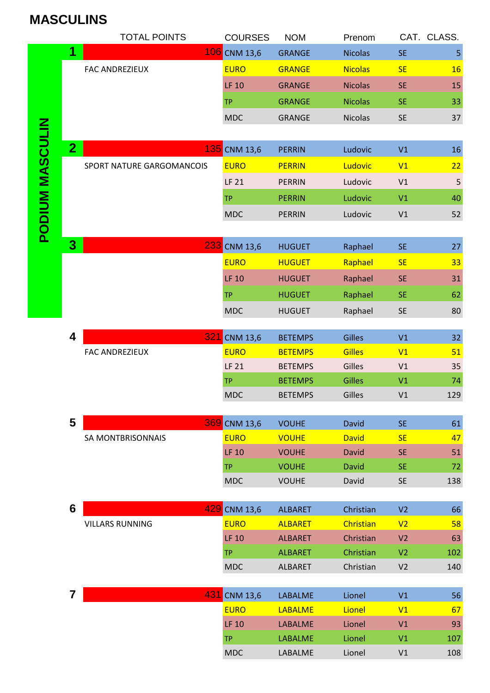## **MASCULINS**

|                        |                         | <b>TOTAL POINTS</b>       | <b>COURSES</b>                          | <b>NOM</b>                   | Prenom                       |                        | CAT. CLASS.    |
|------------------------|-------------------------|---------------------------|-----------------------------------------|------------------------------|------------------------------|------------------------|----------------|
|                        | 1                       |                           | 106 CNM 13,6                            | <b>GRANGE</b>                | <b>Nicolas</b>               | <b>SE</b>              | 5              |
|                        |                         | <b>FAC ANDREZIEUX</b>     | <b>EURO</b>                             | <b>GRANGE</b>                | <b>Nicolas</b>               | <b>SE</b>              | 16             |
|                        |                         |                           | <b>LF 10</b>                            | <b>GRANGE</b>                | <b>Nicolas</b>               | <b>SE</b>              | 15             |
|                        |                         |                           | <b>TP</b>                               | <b>GRANGE</b>                | <b>Nicolas</b>               | <b>SE</b>              | 33             |
|                        |                         |                           | <b>MDC</b>                              | <b>GRANGE</b>                | Nicolas                      | <b>SE</b>              | 37             |
|                        |                         |                           |                                         |                              |                              |                        |                |
| <b>PODIUM MASCULIN</b> | 2 <sub>1</sub>          |                           | 135 CNM 13,6                            | <b>PERRIN</b>                | Ludovic                      | V1                     | 16             |
|                        |                         | SPORT NATURE GARGOMANCOIS | <b>EURO</b>                             | <b>PERRIN</b>                | Ludovic                      | V1                     | 22             |
|                        |                         |                           | <b>LF 21</b>                            | <b>PERRIN</b>                | Ludovic                      | V1                     | $\overline{5}$ |
|                        |                         |                           | <b>TP</b>                               | <b>PERRIN</b>                | Ludovic                      | V <sub>1</sub>         | 40             |
|                        |                         |                           | <b>MDC</b>                              | <b>PERRIN</b>                | Ludovic                      | V1                     | 52             |
|                        |                         |                           |                                         |                              |                              |                        |                |
|                        | 3                       |                           | 233 CNM 13,6                            | <b>HUGUET</b>                | Raphael                      | <b>SE</b>              | 27             |
|                        |                         |                           | <b>EURO</b>                             | <b>HUGUET</b>                | Raphael                      | <b>SE</b>              | 33             |
|                        |                         |                           | <b>LF 10</b>                            | <b>HUGUET</b>                | Raphael                      | <b>SE</b>              | 31             |
|                        |                         |                           | <b>TP</b>                               | <b>HUGUET</b>                | Raphael                      | <b>SE</b>              | 62             |
|                        |                         |                           | <b>MDC</b>                              | <b>HUGUET</b>                | Raphael                      | <b>SE</b>              | 80             |
|                        |                         |                           |                                         |                              |                              |                        |                |
|                        | $\overline{\mathbf{4}}$ | 321                       | $\sqrt{\text{CNM}}$ 13,6                | <b>BETEMPS</b>               | <b>Gilles</b>                | V1                     | 32             |
|                        |                         | <b>FAC ANDREZIEUX</b>     | <b>EURO</b>                             | <b>BETEMPS</b>               | <b>Gilles</b>                | V1                     | 51             |
|                        |                         |                           | <b>LF 21</b>                            | <b>BETEMPS</b>               | Gilles                       | V1                     | 35             |
|                        |                         |                           | <b>TP</b>                               | <b>BETEMPS</b>               | <b>Gilles</b>                | V <sub>1</sub>         | 74             |
|                        |                         |                           | <b>MDC</b>                              | <b>BETEMPS</b>               | Gilles                       | V1                     | 129            |
|                        | 5                       |                           |                                         |                              |                              |                        |                |
|                        |                         | SA MONTBRISONNAIS         | 369 CNM 13,6<br><b>EURO</b>             | <b>VOUHE</b><br><b>VOUHE</b> | <b>David</b><br><b>David</b> | <b>SE</b><br><b>SE</b> | 61<br>47       |
|                        |                         |                           | <b>LF 10</b>                            | <b>VOUHE</b>                 | <b>David</b>                 | <b>SE</b>              | 51             |
|                        |                         |                           | <b>TP</b>                               | <b>VOUHE</b>                 | David                        | <b>SE</b>              | 72             |
|                        |                         |                           | <b>MDC</b>                              | <b>VOUHE</b>                 | David                        | <b>SE</b>              | 138            |
|                        |                         |                           |                                         |                              |                              |                        |                |
|                        | $6\phantom{1}$          |                           | 429 CNM 13,6                            | <b>ALBARET</b>               | Christian                    | V <sub>2</sub>         | 66             |
|                        |                         | <b>VILLARS RUNNING</b>    | <b>EURO</b>                             | <b>ALBARET</b>               | Christian                    | V <sub>2</sub>         | 58             |
|                        |                         |                           | <b>LF 10</b>                            | <b>ALBARET</b>               | Christian                    | V <sub>2</sub>         | 63             |
|                        |                         |                           | <b>TP</b>                               | <b>ALBARET</b>               | Christian                    | V <sub>2</sub>         | 102            |
|                        |                         |                           | <b>MDC</b>                              | <b>ALBARET</b>               | Christian                    | V <sub>2</sub>         | 140            |
|                        | 7                       | 431                       |                                         |                              |                              |                        |                |
|                        |                         |                           | $\sqrt{\text{CNM}}$ 13,6<br><b>EURO</b> | LABALME<br><b>LABALME</b>    | Lionel<br>Lionel             | V1<br>V1               | 56<br>67       |
|                        |                         |                           | <b>LF 10</b>                            | <b>LABALME</b>               | Lionel                       | V1                     | 93             |
|                        |                         |                           | <b>TP</b>                               | <b>LABALME</b>               | Lionel                       | V <sub>1</sub>         | 107            |
|                        |                         |                           | <b>MDC</b>                              | LABALME                      | Lionel                       | V1                     | 108            |
|                        |                         |                           |                                         |                              |                              |                        |                |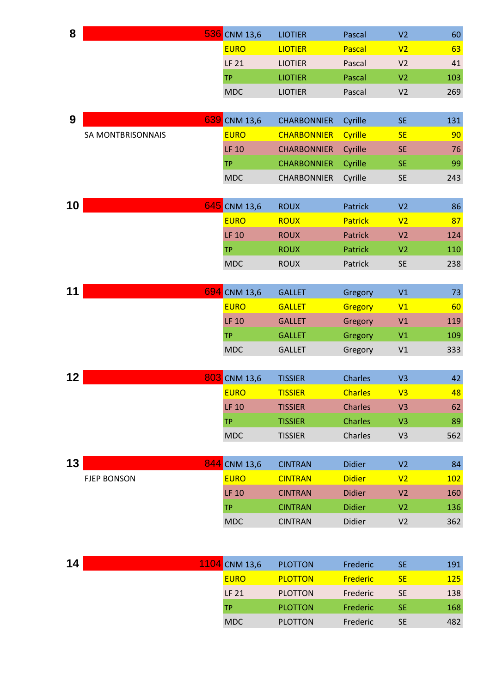| 8               |                          | 536 CNM 13,6  | <b>LIOTIER</b>     | Pascal         | V <sub>2</sub> | 60  |
|-----------------|--------------------------|---------------|--------------------|----------------|----------------|-----|
|                 |                          | <b>EURO</b>   | <b>LIOTIER</b>     | Pascal         | V <sub>2</sub> | 63  |
|                 |                          | <b>LF 21</b>  | <b>LIOTIER</b>     | Pascal         | V <sub>2</sub> | 41  |
|                 |                          | <b>TP</b>     | <b>LIOTIER</b>     | Pascal         | V <sub>2</sub> | 103 |
|                 |                          | <b>MDC</b>    | <b>LIOTIER</b>     | Pascal         | V <sub>2</sub> | 269 |
|                 |                          |               |                    |                |                |     |
| 9               |                          | 639 CNM 13,6  | <b>CHARBONNIER</b> | Cyrille        | <b>SE</b>      | 131 |
|                 | <b>SA MONTBRISONNAIS</b> | <b>EURO</b>   | <b>CHARBONNIER</b> | Cyrille        | <b>SE</b>      | 90  |
|                 |                          | <b>LF 10</b>  | <b>CHARBONNIER</b> | Cyrille        | <b>SE</b>      | 76  |
|                 |                          | <b>TP</b>     | <b>CHARBONNIER</b> | Cyrille        | <b>SE</b>      | 99  |
|                 |                          | <b>MDC</b>    | <b>CHARBONNIER</b> | Cyrille        | <b>SE</b>      | 243 |
|                 |                          |               |                    |                |                |     |
| 10 <sub>1</sub> |                          | 645 CNM 13,6  | <b>ROUX</b>        | Patrick        | V <sub>2</sub> | 86  |
|                 |                          | <b>EURO</b>   | <b>ROUX</b>        | Patrick        | V <sub>2</sub> | 87  |
|                 |                          | <b>LF 10</b>  | <b>ROUX</b>        | Patrick        | V <sub>2</sub> | 124 |
|                 |                          | <b>TP</b>     | <b>ROUX</b>        | <b>Patrick</b> | V <sub>2</sub> | 110 |
|                 |                          | <b>MDC</b>    | <b>ROUX</b>        | Patrick        | <b>SE</b>      | 238 |
|                 |                          |               |                    |                |                |     |
| 11              |                          | 694 CNM 13,6  | <b>GALLET</b>      | Gregory        | V1             | 73  |
|                 |                          | <b>EURO</b>   | <b>GALLET</b>      | Gregory        | V1             | 60  |
|                 |                          | <b>LF 10</b>  | <b>GALLET</b>      | Gregory        | V1             | 119 |
|                 |                          | <b>TP</b>     | <b>GALLET</b>      | Gregory        | V1             | 109 |
|                 |                          | <b>MDC</b>    | <b>GALLET</b>      | Gregory        | V1             | 333 |
|                 |                          |               |                    |                |                |     |
| 12 <sub>2</sub> |                          | 803 CNM 13,6  | <b>TISSIER</b>     | <b>Charles</b> | V <sub>3</sub> | 42  |
|                 |                          | <b>EURO</b>   | <b>TISSIER</b>     | <b>Charles</b> | V <sub>3</sub> | 48  |
|                 |                          | <b>LF 10</b>  | <b>TISSIER</b>     | <b>Charles</b> | V <sub>3</sub> | 62  |
|                 |                          | <b>TP</b>     | <b>TISSIER</b>     | <b>Charles</b> | V <sub>3</sub> | 89  |
|                 |                          | <b>MDC</b>    | <b>TISSIER</b>     | Charles        | V <sub>3</sub> | 562 |
|                 |                          |               |                    |                |                |     |
| 13              |                          | 844 CNM 13,6  | <b>CINTRAN</b>     | <b>Didier</b>  | V <sub>2</sub> | 84  |
|                 | <b>FJEP BONSON</b>       | <b>EURO</b>   | <b>CINTRAN</b>     | <b>Didier</b>  | V <sub>2</sub> | 102 |
|                 |                          | <b>LF 10</b>  | <b>CINTRAN</b>     | <b>Didier</b>  | V <sub>2</sub> | 160 |
|                 |                          | <b>TP</b>     | <b>CINTRAN</b>     | <b>Didier</b>  | V <sub>2</sub> | 136 |
|                 |                          | <b>MDC</b>    | <b>CINTRAN</b>     | Didier         | V <sub>2</sub> | 362 |
|                 |                          |               |                    |                |                |     |
|                 |                          |               |                    |                |                |     |
| 14              |                          | 1104 CNM 13,6 | <b>PLOTTON</b>     | Frederic       | <b>SE</b>      | 191 |
|                 |                          | <b>EURO</b>   | <b>PLOTTON</b>     | Frederic       | <b>SE</b>      | 125 |
|                 |                          | <b>LF 21</b>  | <b>PLOTTON</b>     | Frederic       | <b>SE</b>      | 138 |
|                 |                          | <b>TP</b>     | <b>PLOTTON</b>     | Frederic       | <b>SE</b>      | 168 |

MDC PLOTTON Frederic SE 482